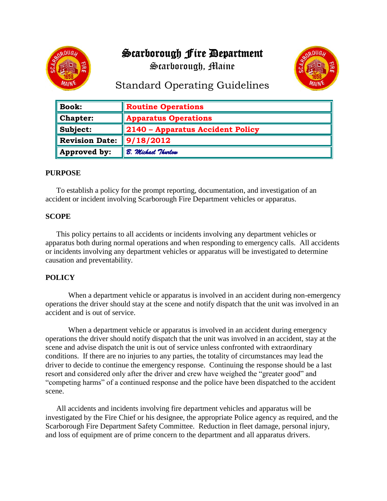# Scarborough Fire Department

Scarborough, Maine



# Standard Operating Guidelines

| $\parallel$ Book:           | <b>Routine Operations</b>        |
|-----------------------------|----------------------------------|
| Chapter:                    | <b>Apparatus Operations</b>      |
| $\blacksquare$ Subject:     | 2140 - Apparatus Accident Policy |
| <b>Revision Date:</b>       | $\frac{9}{18/2012}$              |
| $\blacksquare$ Approved by: | B. Michael Thurlow               |

### **PURPOSE**

To establish a policy for the prompt reporting, documentation, and investigation of an accident or incident involving Scarborough Fire Department vehicles or apparatus.

#### **SCOPE**

This policy pertains to all accidents or incidents involving any department vehicles or apparatus both during normal operations and when responding to emergency calls. All accidents or incidents involving any department vehicles or apparatus will be investigated to determine causation and preventability.

### **POLICY**

When a department vehicle or apparatus is involved in an accident during non-emergency operations the driver should stay at the scene and notify dispatch that the unit was involved in an accident and is out of service.

When a department vehicle or apparatus is involved in an accident during emergency operations the driver should notify dispatch that the unit was involved in an accident, stay at the scene and advise dispatch the unit is out of service unless confronted with extraordinary conditions. If there are no injuries to any parties, the totality of circumstances may lead the driver to decide to continue the emergency response. Continuing the response should be a last resort and considered only after the driver and crew have weighed the "greater good" and "competing harms" of a continued response and the police have been dispatched to the accident scene.

All accidents and incidents involving fire department vehicles and apparatus will be investigated by the Fire Chief or his designee, the appropriate Police agency as required, and the Scarborough Fire Department Safety Committee. Reduction in fleet damage, personal injury, and loss of equipment are of prime concern to the department and all apparatus drivers.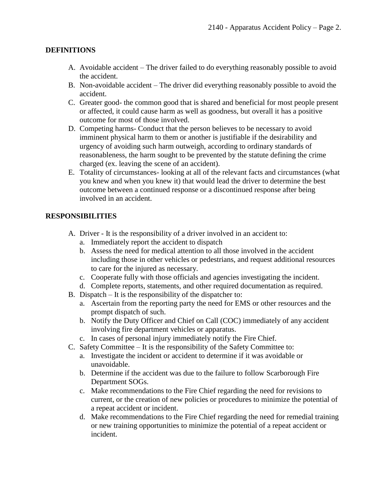### **DEFINITIONS**

- A. Avoidable accident The driver failed to do everything reasonably possible to avoid the accident.
- B. Non-avoidable accident The driver did everything reasonably possible to avoid the accident.
- C. Greater good- the common good that is shared and beneficial for most people present or affected, it could cause harm as well as goodness, but overall it has a positive outcome for most of those involved.
- D. Competing harms- Conduct that the person believes to be necessary to avoid imminent physical harm to them or another is justifiable if the desirability and urgency of avoiding such harm outweigh, according to ordinary standards of reasonableness, the harm sought to be prevented by the statute defining the crime charged (ex. leaving the scene of an accident).
- E. Totality of circumstances- looking at all of the relevant facts and circumstances (what you knew and when you knew it) that would lead the driver to determine the best outcome between a continued response or a discontinued response after being involved in an accident.

## **RESPONSIBILITIES**

- A. Driver It is the responsibility of a driver involved in an accident to:
	- a. Immediately report the accident to dispatch
	- b. Assess the need for medical attention to all those involved in the accident including those in other vehicles or pedestrians, and request additional resources to care for the injured as necessary.
	- c. Cooperate fully with those officials and agencies investigating the incident.
	- d. Complete reports, statements, and other required documentation as required.
- B. Dispatch It is the responsibility of the dispatcher to:
	- a. Ascertain from the reporting party the need for EMS or other resources and the prompt dispatch of such.
	- b. Notify the Duty Officer and Chief on Call (COC) immediately of any accident involving fire department vehicles or apparatus.
	- c. In cases of personal injury immediately notify the Fire Chief.
- C. Safety Committee It is the responsibility of the Safety Committee to:
	- a. Investigate the incident or accident to determine if it was avoidable or unavoidable.
	- b. Determine if the accident was due to the failure to follow Scarborough Fire Department SOGs.
	- c. Make recommendations to the Fire Chief regarding the need for revisions to current, or the creation of new policies or procedures to minimize the potential of a repeat accident or incident.
	- d. Make recommendations to the Fire Chief regarding the need for remedial training or new training opportunities to minimize the potential of a repeat accident or incident.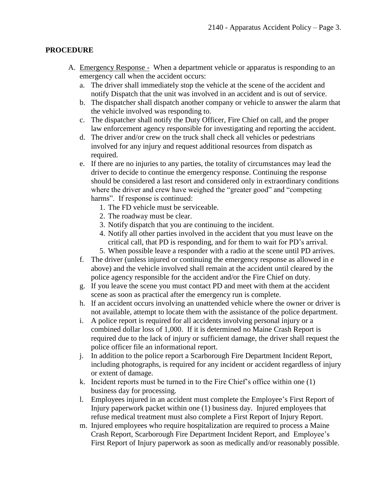#### **PROCEDURE**

- A. Emergency Response When a department vehicle or apparatus is responding to an emergency call when the accident occurs:
	- a. The driver shall immediately stop the vehicle at the scene of the accident and notify Dispatch that the unit was involved in an accident and is out of service.
	- b. The dispatcher shall dispatch another company or vehicle to answer the alarm that the vehicle involved was responding to.
	- c. The dispatcher shall notify the Duty Officer, Fire Chief on call, and the proper law enforcement agency responsible for investigating and reporting the accident.
	- d. The driver and/or crew on the truck shall check all vehicles or pedestrians involved for any injury and request additional resources from dispatch as required.
	- e. If there are no injuries to any parties, the totality of circumstances may lead the driver to decide to continue the emergency response. Continuing the response should be considered a last resort and considered only in extraordinary conditions where the driver and crew have weighed the "greater good" and "competing harms". If response is continued:
		- 1. The FD vehicle must be serviceable.
		- 2. The roadway must be clear.
		- 3. Notify dispatch that you are continuing to the incident.
		- 4. Notify all other parties involved in the accident that you must leave on the critical call, that PD is responding, and for them to wait for PD's arrival.
		- 5. When possible leave a responder with a radio at the scene until PD arrives.
	- f. The driver (unless injured or continuing the emergency response as allowed in e above) and the vehicle involved shall remain at the accident until cleared by the police agency responsible for the accident and/or the Fire Chief on duty.
	- g. If you leave the scene you must contact PD and meet with them at the accident scene as soon as practical after the emergency run is complete.
	- h. If an accident occurs involving an unattended vehicle where the owner or driver is not available, attempt to locate them with the assistance of the police department.
	- i. A police report is required for all accidents involving personal injury or a combined dollar loss of 1,000. If it is determined no Maine Crash Report is required due to the lack of injury or sufficient damage, the driver shall request the police officer file an informational report.
	- j. In addition to the police report a Scarborough Fire Department Incident Report, including photographs, is required for any incident or accident regardless of injury or extent of damage.
	- k. Incident reports must be turned in to the Fire Chief's office within one (1) business day for processing.
	- l. Employees injured in an accident must complete the Employee's First Report of Injury paperwork packet within one (1) business day. Injured employees that refuse medical treatment must also complete a First Report of Injury Report.
	- m. Injured employees who require hospitalization are required to process a Maine Crash Report, Scarborough Fire Department Incident Report, and Employee's First Report of Injury paperwork as soon as medically and/or reasonably possible.